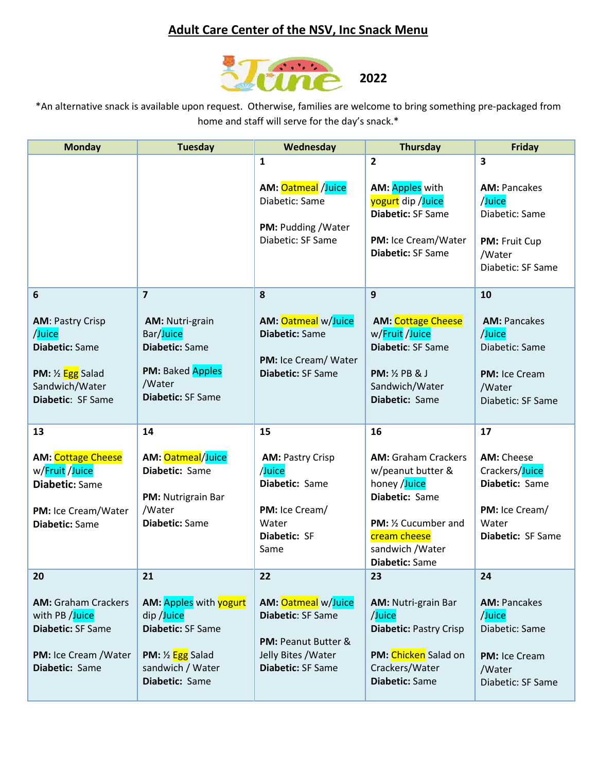## **Adult Care Center of the NSV, Inc Snack Menu**



\*An alternative snack is available upon request. Otherwise, families are welcome to bring something pre-packaged from home and staff will serve for the day's snack.\*

| <b>Monday</b>                                                                                                                                  | <b>Tuesday</b>                                                                                                                     | Wednesday                                                                                                   | <b>Thursday</b>                                                                                                                                                        | Friday                                                                                                      |
|------------------------------------------------------------------------------------------------------------------------------------------------|------------------------------------------------------------------------------------------------------------------------------------|-------------------------------------------------------------------------------------------------------------|------------------------------------------------------------------------------------------------------------------------------------------------------------------------|-------------------------------------------------------------------------------------------------------------|
|                                                                                                                                                |                                                                                                                                    | $\mathbf{1}$<br>AM: Oatmeal /Juice<br>Diabetic: Same<br>PM: Pudding / Water<br>Diabetic: SF Same            | $\overline{2}$<br>AM: Apples with<br>yogurt dip /Juice<br>Diabetic: SF Same<br>PM: Ice Cream/Water<br>Diabetic: SF Same                                                | 3<br><b>AM: Pancakes</b><br>/Juice<br>Diabetic: Same<br><b>PM: Fruit Cup</b><br>/Water<br>Diabetic: SF Same |
| 6                                                                                                                                              | $\overline{7}$                                                                                                                     | 8                                                                                                           | 9                                                                                                                                                                      | 10                                                                                                          |
| <b>AM: Pastry Crisp</b><br>/Juice<br><b>Diabetic: Same</b><br><b>PM:</b> $\frac{1}{2}$ <b>Egg</b> Salad<br>Sandwich/Water<br>Diabetic: SF Same | <b>AM: Nutri-grain</b><br>Bar/Juice<br><b>Diabetic: Same</b><br><b>PM: Baked Apples</b><br>/Water<br>Diabetic: SF Same             | <b>AM: Oatmeal w/Juice</b><br><b>Diabetic: Same</b><br>PM: Ice Cream/ Water<br>Diabetic: SF Same            | <b>AM: Cottage Cheese</b><br>w/Fruit /Juice<br>Diabetic: SF Same<br><b>PM:</b> 1/2 PB & J<br>Sandwich/Water<br>Diabetic: Same                                          | <b>AM: Pancakes</b><br>/Juice<br>Diabetic: Same<br><b>PM: Ice Cream</b><br>/Water<br>Diabetic: SF Same      |
| 13                                                                                                                                             | 14                                                                                                                                 | 15                                                                                                          | 16                                                                                                                                                                     | 17                                                                                                          |
| <b>AM: Cottage Cheese</b><br>w/Fruit /Juice<br><b>Diabetic: Same</b><br>PM: Ice Cream/Water<br><b>Diabetic: Same</b>                           | AM: Oatmeal/Juice<br>Diabetic: Same<br>PM: Nutrigrain Bar<br>/Water<br>Diabetic: Same                                              | <b>AM: Pastry Crisp</b><br>/Juice<br>Diabetic: Same<br>PM: Ice Cream/<br>Water<br>Diabetic: SF<br>Same      | <b>AM: Graham Crackers</b><br>w/peanut butter &<br>honey /Juice<br>Diabetic: Same<br>PM: 1/2 Cucumber and<br>cream cheese<br>sandwich / Water<br><b>Diabetic: Same</b> | <b>AM: Cheese</b><br>Crackers/Juice<br>Diabetic: Same<br>PM: Ice Cream/<br>Water<br>Diabetic: SF Same       |
| 20                                                                                                                                             | 21                                                                                                                                 | 22                                                                                                          | 23                                                                                                                                                                     | 24                                                                                                          |
| <b>AM: Graham Crackers</b><br>with PB /Juice<br>Diabetic: SF Same<br><b>PM:</b> Ice Cream / Water<br>Diabetic: Same                            | AM: Apples with yogurt<br>dip /Juice<br>Diabetic: SF Same<br><b>PM:</b> 1/2 <b>Egg</b> Salad<br>sandwich / Water<br>Diabetic: Same | AM: Oatmeal w/Juice<br>Diabetic: SF Same<br>PM: Peanut Butter &<br>Jelly Bites / Water<br>Diabetic: SF Same | <b>AM: Nutri-grain Bar</b><br>/Juice<br><b>Diabetic: Pastry Crisp</b><br>PM: Chicken Salad on<br>Crackers/Water<br>Diabetic: Same                                      | <b>AM: Pancakes</b><br>/Juice<br>Diabetic: Same<br>PM: Ice Cream<br>/Water<br>Diabetic: SF Same             |